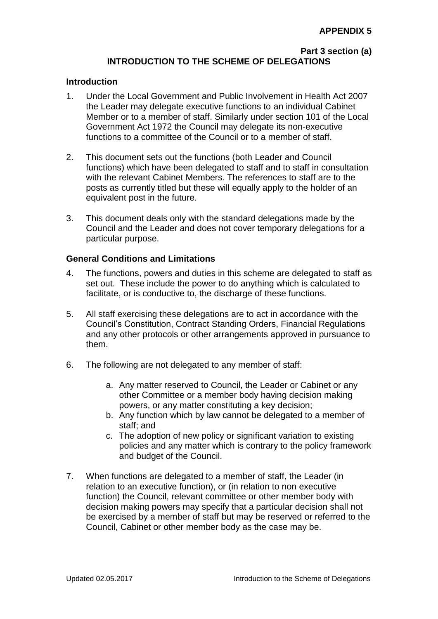#### **Part 3 section (a) INTRODUCTION TO THE SCHEME OF DELEGATIONS**

#### **Introduction**

- 1. Under the Local Government and Public Involvement in Health Act 2007 the Leader may delegate executive functions to an individual Cabinet Member or to a member of staff. Similarly under section 101 of the Local Government Act 1972 the Council may delegate its non-executive functions to a committee of the Council or to a member of staff.
- 2. This document sets out the functions (both Leader and Council functions) which have been delegated to staff and to staff in consultation with the relevant Cabinet Members. The references to staff are to the posts as currently titled but these will equally apply to the holder of an equivalent post in the future.
- 3. This document deals only with the standard delegations made by the Council and the Leader and does not cover temporary delegations for a particular purpose.

#### **General Conditions and Limitations**

- 4. The functions, powers and duties in this scheme are delegated to staff as set out. These include the power to do anything which is calculated to facilitate, or is conductive to, the discharge of these functions.
- 5. All staff exercising these delegations are to act in accordance with the Council's Constitution, Contract Standing Orders, Financial Regulations and any other protocols or other arrangements approved in pursuance to them.
- 6. The following are not delegated to any member of staff:
	- a. Any matter reserved to Council, the Leader or Cabinet or any other Committee or a member body having decision making powers, or any matter constituting a key decision;
	- b. Any function which by law cannot be delegated to a member of staff; and
	- c. The adoption of new policy or significant variation to existing policies and any matter which is contrary to the policy framework and budget of the Council.
- 7. When functions are delegated to a member of staff, the Leader (in relation to an executive function), or (in relation to non executive function) the Council, relevant committee or other member body with decision making powers may specify that a particular decision shall not be exercised by a member of staff but may be reserved or referred to the Council, Cabinet or other member body as the case may be.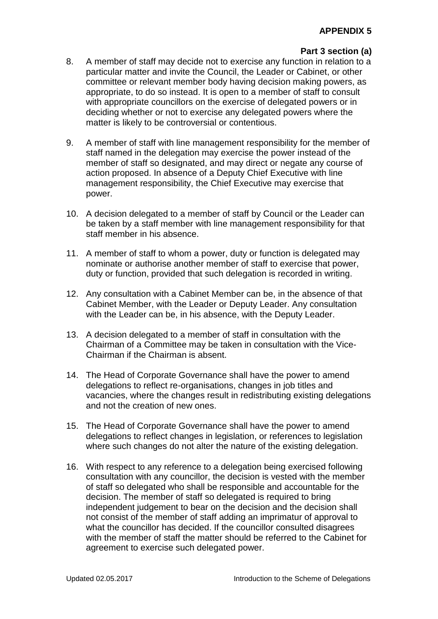# **Part 3 section (a)**

- 8. A member of staff may decide not to exercise any function in relation to a particular matter and invite the Council, the Leader or Cabinet, or other committee or relevant member body having decision making powers, as appropriate, to do so instead. It is open to a member of staff to consult with appropriate councillors on the exercise of delegated powers or in deciding whether or not to exercise any delegated powers where the matter is likely to be controversial or contentious.
- 9. A member of staff with line management responsibility for the member of staff named in the delegation may exercise the power instead of the member of staff so designated, and may direct or negate any course of action proposed. In absence of a Deputy Chief Executive with line management responsibility, the Chief Executive may exercise that power.
- 10. A decision delegated to a member of staff by Council or the Leader can be taken by a staff member with line management responsibility for that staff member in his absence.
- 11. A member of staff to whom a power, duty or function is delegated may nominate or authorise another member of staff to exercise that power, duty or function, provided that such delegation is recorded in writing.
- 12. Any consultation with a Cabinet Member can be, in the absence of that Cabinet Member, with the Leader or Deputy Leader. Any consultation with the Leader can be, in his absence, with the Deputy Leader.
- 13. A decision delegated to a member of staff in consultation with the Chairman of a Committee may be taken in consultation with the Vice-Chairman if the Chairman is absent.
- 14. The Head of Corporate Governance shall have the power to amend delegations to reflect re-organisations, changes in job titles and vacancies, where the changes result in redistributing existing delegations and not the creation of new ones.
- 15. The Head of Corporate Governance shall have the power to amend delegations to reflect changes in legislation, or references to legislation where such changes do not alter the nature of the existing delegation.
- 16. With respect to any reference to a delegation being exercised following consultation with any councillor, the decision is vested with the member of staff so delegated who shall be responsible and accountable for the decision. The member of staff so delegated is required to bring independent judgement to bear on the decision and the decision shall not consist of the member of staff adding an imprimatur of approval to what the councillor has decided. If the councillor consulted disagrees with the member of staff the matter should be referred to the Cabinet for agreement to exercise such delegated power.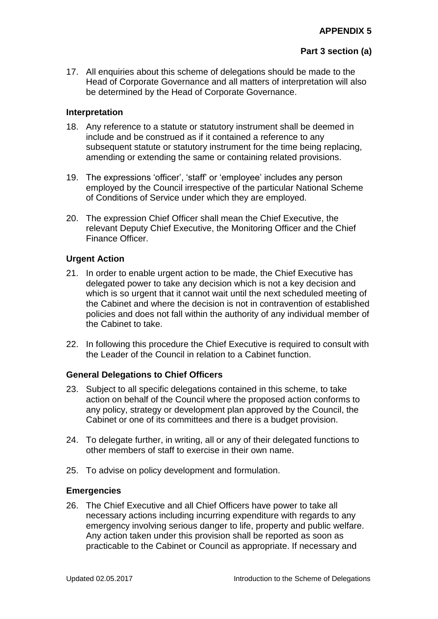# **Part 3 section (a)**

17. All enquiries about this scheme of delegations should be made to the Head of Corporate Governance and all matters of interpretation will also be determined by the Head of Corporate Governance.

#### **Interpretation**

- 18. Any reference to a statute or statutory instrument shall be deemed in include and be construed as if it contained a reference to any subsequent statute or statutory instrument for the time being replacing, amending or extending the same or containing related provisions.
- 19. The expressions 'officer', 'staff' or 'employee' includes any person employed by the Council irrespective of the particular National Scheme of Conditions of Service under which they are employed.
- 20. The expression Chief Officer shall mean the Chief Executive, the relevant Deputy Chief Executive, the Monitoring Officer and the Chief Finance Officer.

### **Urgent Action**

- 21. In order to enable urgent action to be made, the Chief Executive has delegated power to take any decision which is not a key decision and which is so urgent that it cannot wait until the next scheduled meeting of the Cabinet and where the decision is not in contravention of established policies and does not fall within the authority of any individual member of the Cabinet to take.
- 22. In following this procedure the Chief Executive is required to consult with the Leader of the Council in relation to a Cabinet function.

### **General Delegations to Chief Officers**

- 23. Subject to all specific delegations contained in this scheme, to take action on behalf of the Council where the proposed action conforms to any policy, strategy or development plan approved by the Council, the Cabinet or one of its committees and there is a budget provision.
- 24. To delegate further, in writing, all or any of their delegated functions to other members of staff to exercise in their own name.
- 25. To advise on policy development and formulation.

### **Emergencies**

26. The Chief Executive and all Chief Officers have power to take all necessary actions including incurring expenditure with regards to any emergency involving serious danger to life, property and public welfare. Any action taken under this provision shall be reported as soon as practicable to the Cabinet or Council as appropriate. If necessary and